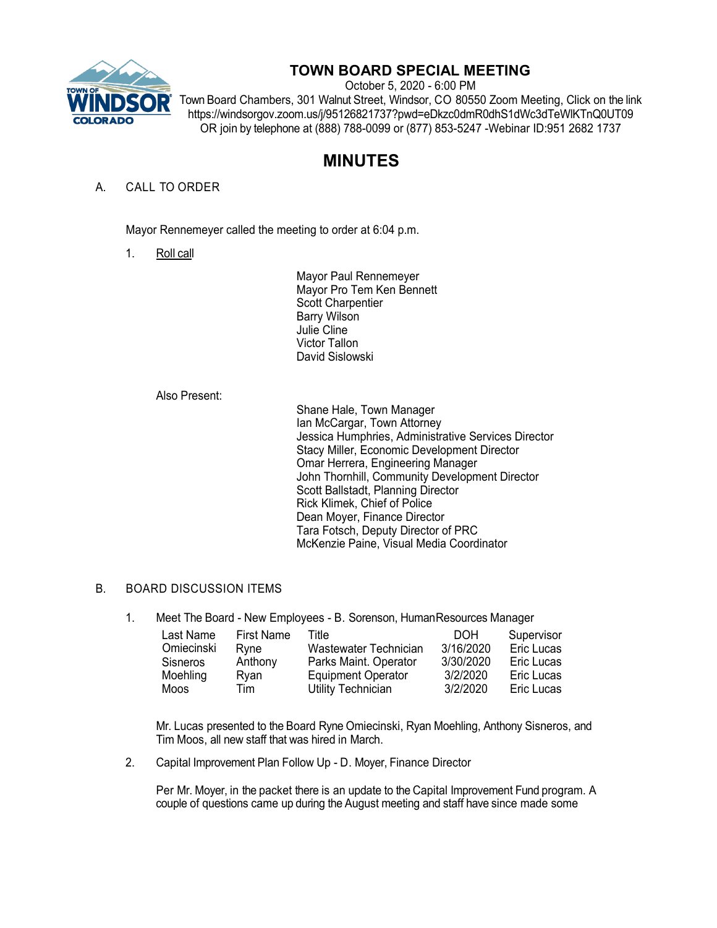

## **TOWN BOARD SPECIAL MEETING**

October 5, 2020 - 6:00 PM Town Board Chambers, 301 Walnut Street, Windsor, CO 80550 Zoom Meeting, Click on the link https://windsorgov.zoom.us/j/95126821737?pwd=eDkzc0dmR0dhS1dWc3dTeWlKTnQ0UT09 OR join by telephone at (888) 788-0099 or (877) 853-5247 -Webinar ID:951 2682 1737

# **MINUTES**

### A. CALL TO ORDER

Mayor Rennemeyer called the meeting to order at 6:04 p.m.

1. Roll call

Mayor Paul Rennemeyer Mayor Pro Tem Ken Bennett Scott Charpentier Barry Wilson Julie Cline Victor Tallon David Sislowski

#### Also Present:

Shane Hale, Town Manager Ian McCargar, Town Attorney Jessica Humphries, Administrative Services Director Stacy Miller, Economic Development Director Omar Herrera, Engineering Manager John Thornhill, Community Development Director Scott Ballstadt, Planning Director Rick Klimek, Chief of Police Dean Moyer, Finance Director Tara Fotsch, Deputy Director of PRC McKenzie Paine, Visual Media Coordinator

#### B. BOARD DISCUSSION ITEMS

1. Meet The Board - New Employees - B. Sorenson, HumanResources Manager

| Last Name       | <b>First Name</b> | Title                     | DOH.      | Supervisor |
|-----------------|-------------------|---------------------------|-----------|------------|
| Omiecinski      | Rvne              | Wastewater Technician     | 3/16/2020 | Eric Lucas |
| <b>Sisneros</b> | Anthony           | Parks Maint. Operator     | 3/30/2020 | Eric Lucas |
| Moehling        | Rvan              | <b>Equipment Operator</b> | 3/2/2020  | Eric Lucas |
| Moos            | Tim               | Utility Technician        | 3/2/2020  | Eric Lucas |

Mr. Lucas presented to the Board Ryne Omiecinski, Ryan Moehling, Anthony Sisneros, and Tim Moos, all new staff that was hired in March.

2. Capital Improvement Plan Follow Up - D. Moyer, Finance Director

Per Mr. Moyer, in the packet there is an update to the Capital Improvement Fund program. A couple of questions came up during the August meeting and staff have since made some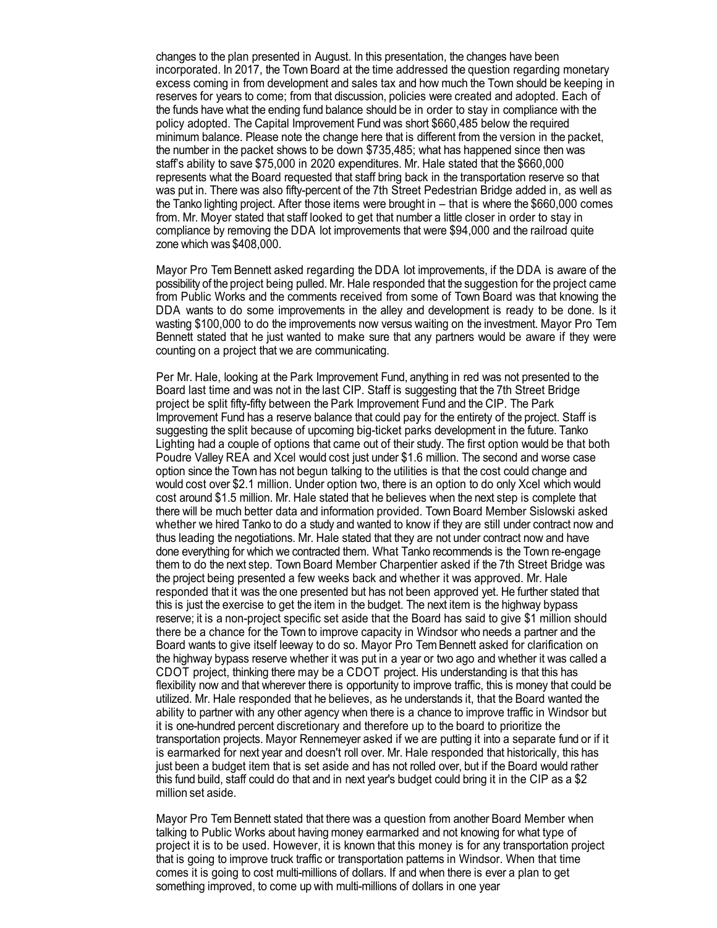changes to the plan presented in August. In this presentation, the changes have been incorporated. In 2017, the Town Board at the time addressed the question regarding monetary excess coming in from development and sales tax and how much the Town should be keeping in reserves for years to come; from that discussion, policies were created and adopted. Each of the funds have what the ending fund balance should be in order to stay in compliance with the policy adopted. The Capital Improvement Fund was short \$660,485 below the required minimum balance. Please note the change here that is different from the version in the packet, the number in the packet shows to be down \$735,485; what has happened since then was staff's ability to save \$75,000 in 2020 expenditures. Mr. Hale stated that the \$660,000 represents what the Board requested that staff bring back in the transportation reserve so that was put in. There was also fifty-percent of the 7th Street Pedestrian Bridge added in, as well as the Tanko lighting project. After those items were brought in – that is where the \$660,000 comes from. Mr. Moyer stated that staff looked to get that number a little closer in order to stay in compliance by removing the DDA lot improvements that were \$94,000 and the railroad quite zone which was \$408,000.

Mayor Pro Tem Bennett asked regarding the DDA lot improvements, if the DDA is aware of the possibility of the project being pulled.Mr. Hale responded that the suggestion for the project came from Public Works and the comments received from some of Town Board was that knowing the DDA wants to do some improvements in the alley and development is ready to be done. Is it wasting \$100,000 to do the improvements now versus waiting on the investment. Mayor Pro Tem Bennett stated that he just wanted to make sure that any partners would be aware if they were counting on a project that we are communicating.

Per Mr. Hale, looking at the Park Improvement Fund, anything in red was not presented to the Board last time and was not in the last CIP. Staff is suggesting that the 7th Street Bridge project be split fifty-fifty between the Park Improvement Fund and the CIP. The Park Improvement Fund has a reserve balance that could pay for the entirety of the project. Staff is suggesting the split because of upcoming big-ticket parks development in the future. Tanko Lighting had a couple of options that came out of their study. The first option would be that both Poudre Valley REA and Xcel would cost just under \$1.6 million. The second and worse case option since the Town has not begun talking to the utilities is that the cost could change and would cost over \$2.1 million. Under option two, there is an option to do only Xcel which would cost around \$1.5 million. Mr. Hale stated that he believes when the next step is complete that there will be much better data and information provided. Town Board Member Sislowski asked whether we hired Tanko to do a study and wanted to know if they are still under contract now and thus leading the negotiations. Mr. Hale stated that they are not under contract now and have done everything for which we contracted them. What Tanko recommends is the Town re-engage them to do the next step. Town Board Member Charpentier asked if the 7th Street Bridge was the project being presented a few weeks back and whether it was approved. Mr. Hale responded that it was the one presented but has not been approved yet. He further stated that this is just the exercise to get the item in the budget. The next item is the highway bypass reserve; it is a non-project specific set aside that the Board has said to give \$1 million should there be a chance for the Town to improve capacity in Windsor who needs a partner and the Board wants to give itself leeway to do so. Mayor Pro Tem Bennett asked for clarification on the highway bypass reserve whether it was put in a year or two ago and whether it was called a CDOT project, thinking there may be a CDOT project. His understanding is that this has flexibility now and that wherever there is opportunity to improve traffic, this is money that could be utilized. Mr. Hale responded that he believes, as he understands it, that the Board wanted the ability to partner with any other agency when there is a chance to improve traffic in Windsor but it is one-hundred percent discretionary and therefore up to the board to prioritize the transportation projects. Mayor Rennemeyer asked if we are putting it into a separate fund or if it is earmarked for next year and doesn't roll over. Mr. Hale responded that historically, this has just been a budget item that is set aside and has not rolled over, but if the Board would rather this fund build, staff could do that and in next year's budget could bring it in the CIP as a \$2 million set aside.

Mayor Pro Tem Bennett stated that there was a question from another Board Member when talking to Public Works about having money earmarked and not knowing for what type of project it is to be used. However, it is known that this money is for any transportation project that is going to improve truck traffic or transportation patterns in Windsor. When that time comes it is going to cost multi-millions of dollars. If and when there is ever a plan to get something improved, to come up with multi-millions of dollars in one year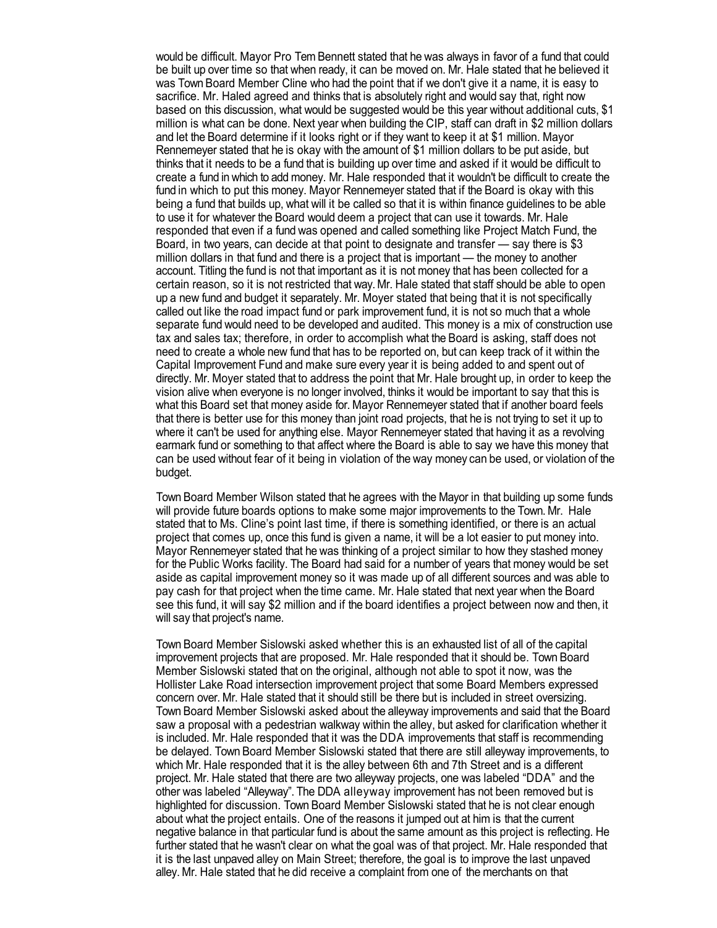would be difficult. Mayor Pro Tem Bennett stated that he was always in favor of a fund that could be built up over time so that when ready, it can be moved on. Mr. Hale stated that he believed it was Town Board Member Cline who had the point that if we don't give it a name, it is easy to sacrifice. Mr. Haled agreed and thinks that is absolutely right and would say that, right now based on this discussion, what would be suggested would be this year without additional cuts, \$1 million is what can be done. Next year when building the CIP, staff can draft in \$2 million dollars and let the Board determine if it looks right or if they want to keep it at \$1 million. Mayor Rennemeyer stated that he is okay with the amount of \$1 million dollars to be put aside, but thinks that it needs to be a fund that is building up over time and asked if it would be difficult to create a fund in which to addmoney. Mr. Hale responded that it wouldn't be difficult to create the fund in which to put this money. Mayor Rennemeyer stated that if the Board is okay with this being a fund that builds up, what will it be called so that it is within finance guidelines to be able to use it for whatever the Board would deem a project that can use it towards. Mr. Hale responded that even if a fund was opened and called something like Project Match Fund, the Board, in two years, can decide at that point to designate and transfer — say there is \$3 million dollars in that fund and there is a project that is important — the money to another account. Titling the fund is not that important as it is not money that has been collected for a certain reason, so it is not restricted that way. Mr. Hale stated that staff should be able to open up a new fund and budget it separately. Mr. Moyer stated that being that it is not specifically called out like the road impact fund or park improvement fund, it is not so much that a whole separate fund would need to be developed and audited. This money is a mix of construction use tax and sales tax; therefore, in order to accomplish what the Board is asking, staff does not need to create a whole new fund that has to be reported on, but can keep track of it within the Capital Improvement Fund and make sure every year it is being added to and spent out of directly. Mr. Moyer stated that to address the point that Mr. Hale brought up, in order to keep the vision alive when everyone is no longer involved, thinks it would be important to say that this is what this Board set that money aside for. Mayor Rennemeyer stated that if another board feels that there is better use for this money than joint road projects, that he is not trying to set it up to where it can't be used for anything else. Mayor Rennemeyer stated that having it as a revolving earmark fund or something to that affect where the Board is able to say we have this money that can be used without fear of it being in violation of the way money can be used, or violation of the budget.

Town Board Member Wilson stated that he agrees with the Mayor in that building up some funds will provide future boards options to make some major improvements to the Town. Mr. Hale stated that to Ms. Cline's point last time, if there is something identified, or there is an actual project that comes up, once this fund is given a name, it will be a lot easier to put money into. Mayor Rennemeyer stated that he was thinking of a project similar to how they stashed money for the Public Works facility. The Board had said for a number of years that money would be set aside as capital improvement money so it was made up of all different sources and was able to pay cash for that project when the time came. Mr. Hale stated that next year when the Board see this fund, it will say \$2 million and if the board identifies a project between now and then, it will say that project's name.

Town Board Member Sislowski asked whether this is an exhausted list of all of the capital improvement projects that are proposed. Mr. Hale responded that it should be. Town Board Member Sislowski stated that on the original, although not able to spot it now, was the Hollister Lake Road intersection improvement project that some Board Members expressed concern over. Mr. Hale stated that it should still be there but is included in street oversizing. Town Board Member Sislowski asked about the alleyway improvements and said that the Board saw a proposal with a pedestrian walkway within the alley, but asked for clarification whether it is included. Mr. Hale responded that it was the DDA improvements that staff is recommending be delayed. Town Board Member Sislowski stated that there are still alleyway improvements, to which Mr. Hale responded that it is the alley between 6th and 7th Street and is a different project. Mr. Hale stated that there are two alleyway projects, one was labeled "DDA" and the other was labeled "Alleyway". The DDA alleyway improvement has not been removed but is highlighted for discussion. Town Board Member Sislowski stated that he is not clear enough about what the project entails. One of the reasons it jumped out at him is that the current negative balance in that particular fund is about the same amount as this project is reflecting. He further stated that he wasn't clear on what the goal was of that project. Mr. Hale responded that it is the last unpaved alley on Main Street; therefore, the goal is to improve the last unpaved alley. Mr. Hale stated that he did receive a complaint from one of the merchants on that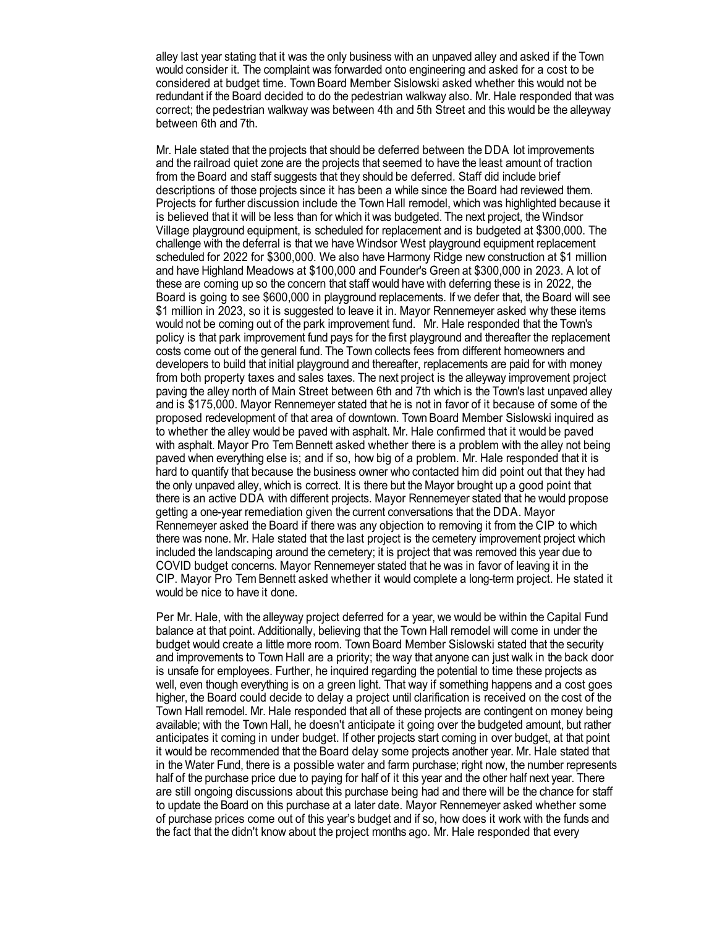alley last year stating that it was the only business with an unpaved alley and asked if the Town would consider it. The complaint was forwarded onto engineering and asked for a cost to be considered at budget time. Town Board Member Sislowski asked whether this would not be redundant if the Board decided to do the pedestrian walkway also. Mr. Hale responded that was correct; the pedestrian walkway was between 4th and 5th Street and this would be the alleyway between 6th and 7th.

Mr. Hale stated that the projects that should be deferred between the DDA lot improvements and the railroad quiet zone are the projects that seemed to have the least amount of traction from the Board and staff suggests that they should be deferred. Staff did include brief descriptions of those projects since it has been a while since the Board had reviewed them. Projects for further discussion include the Town Hall remodel, which was highlighted because it is believed that it will be less than for which it was budgeted. The next project, the Windsor Village playground equipment, is scheduled for replacement and is budgeted at \$300,000. The challenge with the deferral is that we have Windsor West playground equipment replacement scheduled for 2022 for \$300,000. We also have Harmony Ridge new construction at \$1 million and have Highland Meadows at \$100,000 and Founder's Green at \$300,000 in 2023. A lot of these are coming up so the concern that staff would have with deferring these is in 2022, the Board is going to see \$600,000 in playground replacements. If we defer that, the Board will see \$1 million in 2023, so it is suggested to leave it in. Mayor Rennemeyer asked why these items would not be coming out of the park improvement fund. Mr. Hale responded that the Town's policy is that park improvement fund pays for the first playground and thereafter the replacement costs come out of the general fund. The Town collects fees from different homeowners and developers to build that initial playground and thereafter, replacements are paid for with money from both property taxes and sales taxes. The next project is the alleyway improvement project paving the alley north of Main Street between 6th and 7th which is the Town's last unpaved alley and is \$175,000. Mayor Rennemeyer stated that he is not in favor of it because of some of the proposed redevelopment of that area of downtown. Town Board Member Sislowski inquired as to whether the alley would be paved with asphalt. Mr. Hale confirmed that it would be paved with asphalt. Mayor Pro Tem Bennett asked whether there is a problem with the alley not being paved when everything else is; and if so, how big of a problem. Mr. Hale responded that it is hard to quantify that because the business owner who contacted him did point out that they had the only unpaved alley, which is correct. It is there but the Mayor brought up a good point that there is an active DDA with different projects. Mayor Rennemeyer stated that he would propose getting a one-year remediation given the current conversations that the DDA. Mayor Rennemeyer asked the Board if there was any objection to removing it from the CIP to which there was none. Mr. Hale stated that the last project is the cemetery improvement project which included the landscaping around the cemetery; it is project that was removed this year due to COVID budget concerns. Mayor Rennemeyer stated that he was in favor of leaving it in the CIP. Mayor Pro Tem Bennett asked whether it would complete a long-term project. He stated it would be nice to have it done.

Per Mr. Hale, with the alleyway project deferred for a year, we would be within the Capital Fund balance at that point. Additionally, believing that the Town Hall remodel will come in under the budget would create a little more room. Town Board Member Sislowski stated that the security and improvements to Town Hall are a priority; the way that anyone can just walk in the back door is unsafe for employees. Further, he inquired regarding the potential to time these projects as well, even though everything is on a green light. That way if something happens and a cost goes higher, the Board could decide to delay a project until clarification is received on the cost of the Town Hall remodel. Mr. Hale responded that all of these projects are contingent on money being available; with the Town Hall, he doesn't anticipate it going over the budgeted amount, but rather anticipates it coming in under budget. If other projects start coming in over budget, at that point it would be recommended that the Board delay some projects another year. Mr. Hale stated that in the Water Fund, there is a possible water and farm purchase; right now, the number represents half of the purchase price due to paying for half of it this year and the other half next year. There are still ongoing discussions about this purchase being had and there will be the chance for staff to update the Board on this purchase at a later date. Mayor Rennemeyer asked whether some of purchase prices come out of this year's budget and if so, how does it work with the funds and the fact that the didn't know about the project months ago. Mr. Hale responded that every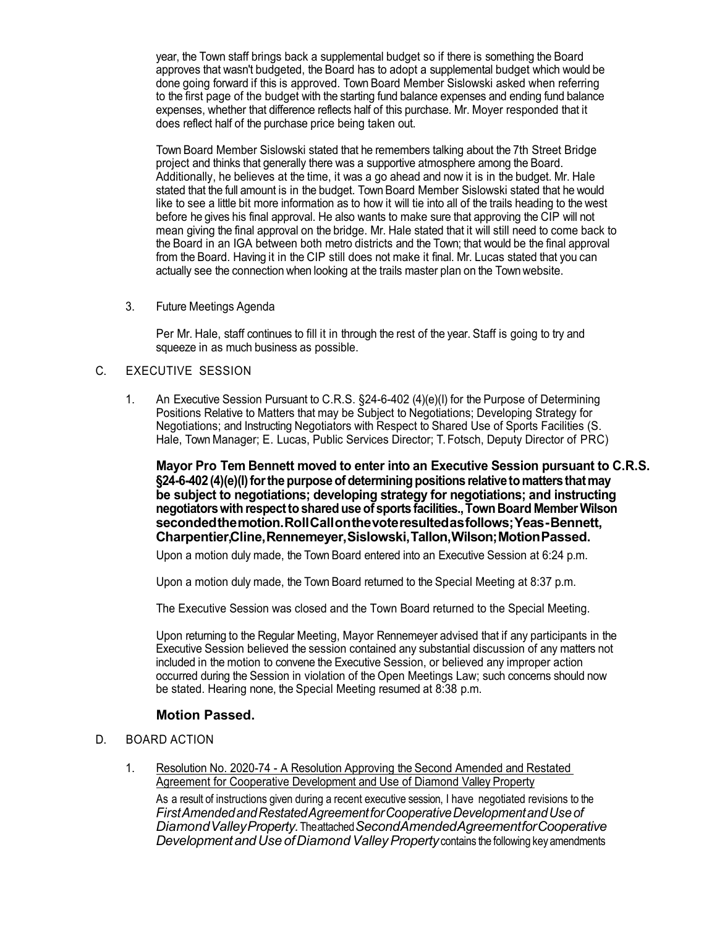year, the Town staff brings back a supplemental budget so if there is something the Board approves that wasn't budgeted, the Board has to adopt a supplemental budget which would be done going forward if this is approved. Town Board Member Sislowski asked when referring to the first page of the budget with the starting fund balance expenses and ending fund balance expenses, whether that difference reflects half of this purchase. Mr. Moyer responded that it does reflect half of the purchase price being taken out.

Town Board Member Sislowski stated that he remembers talking about the 7th Street Bridge project and thinks that generally there was a supportive atmosphere among the Board. Additionally, he believes at the time, it was a go ahead and now it is in the budget. Mr. Hale stated that the full amount is in the budget. Town Board Member Sislowski stated that he would like to see a little bit more information as to how it will tie into all of the trails heading to the west before he gives his final approval. He also wants to make sure that approving the CIP will not mean giving the final approval on the bridge. Mr. Hale stated that it will still need to come back to the Board in an IGA between both metro districts and the Town; that would be the final approval from the Board. Having it in the CIP still does not make it final. Mr. Lucas stated that you can actually see the connection when looking at the trails master plan on the Town website.

3. Future Meetings Agenda

Per Mr. Hale, staff continues to fill it in through the rest of the year. Staff is going to try and squeeze in as much business as possible.

#### C. EXECUTIVE SESSION

1. An Executive Session Pursuant to C.R.S. §24-6-402 (4)(e)(I) for the Purpose of Determining Positions Relative to Matters that may be Subject to Negotiations; Developing Strategy for Negotiations; and Instructing Negotiators with Respect to Shared Use of Sports Facilities (S. Hale, Town Manager; E. Lucas, Public Services Director; T. Fotsch, Deputy Director of PRC)

**Mayor Pro Tem Bennett moved to enter into an Executive Session pursuant to C.R.S. §24-6-402(4)(e)(I)forthe purpose ofdeterminingpositions relativeto mattersthatmay be subject to negotiations; developing strategy for negotiations; and instructing negotiatorswith respectto shareduse of sports facilities.,TownBoard MemberWilson secondedthemotion.RollCallonthevoteresultedasfollows;Yeas-Bennett, Charpentier,Cline,Rennemeyer,Sislowski,Tallon,Wilson;MotionPassed.**

Upon a motion duly made, the Town Board entered into an Executive Session at 6:24 p.m.

Upon a motion duly made, the Town Board returned to the Special Meeting at 8:37 p.m.

The Executive Session was closed and the Town Board returned to the Special Meeting.

Upon returning to the Regular Meeting, Mayor Rennemeyer advised that if any participants in the Executive Session believed the session contained any substantial discussion of any matters not included in the motion to convene the Executive Session, or believed any improper action occurred during the Session in violation of the Open Meetings Law; such concerns should now be stated. Hearing none, the Special Meeting resumed at 8:38 p.m.

#### **Motion Passed.**

#### D. BOARD ACTION

1. Resolution No. 2020-74 - A Resolution Approving the Second Amended and Restated Agreement for Cooperative Development and Use of Diamond Valley Property

As a result of instructions given during a recent executive session, I have negotiated revisions to the *FirstAmendedandRestatedAgreementforCooperativeDevelopmentandUseof DiamondValleyProperty.*Theattached*SecondAmendedAgreementforCooperative Development and Use of Diamond Valley Property contains the following key amendments*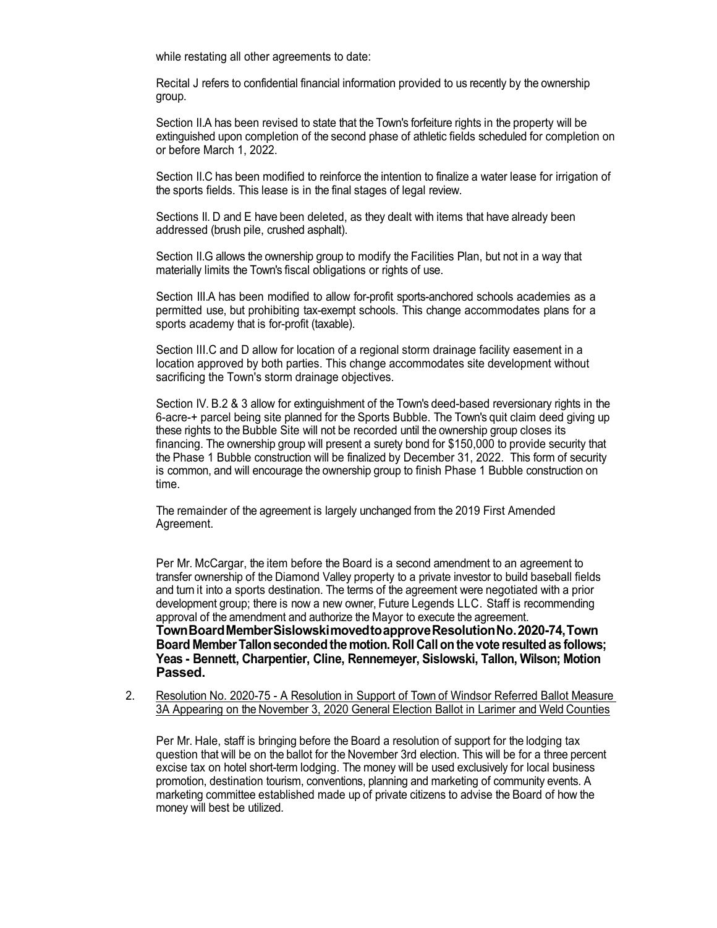while restating all other agreements to date:

Recital J refers to confidential financial information provided to us recently by the ownership group.

Section II.A has been revised to state that the Town's forfeiture rights in the property will be extinguished upon completion of the second phase of athletic fields scheduled for completion on or before March 1, 2022.

Section II.C has been modified to reinforce the intention to finalize a water lease for irrigation of the sports fields. This lease is in the final stages of legal review.

Sections II. D and E have been deleted, as they dealt with items that have already been addressed (brush pile, crushed asphalt).

Section II.G allows the ownership group to modify the Facilities Plan, but not in a way that materially limits the Town's fiscal obligations or rights of use.

Section III.A has been modified to allow for-profit sports-anchored schools academies as a permitted use, but prohibiting tax-exempt schools. This change accommodates plans for a sports academy that is for-profit (taxable).

Section III.C and D allow for location of a regional storm drainage facility easement in a location approved by both parties. This change accommodates site development without sacrificing the Town's storm drainage objectives.

Section IV. B.2 & 3 allow for extinguishment of the Town's deed-based reversionary rights in the 6-acre-+ parcel being site planned for the Sports Bubble. The Town's quit claim deed giving up these rights to the Bubble Site will not be recorded until the ownership group closes its financing. The ownership group will present a surety bond for \$150,000 to provide security that the Phase 1 Bubble construction will be finalized by December 31, 2022. This form of security is common, and will encourage the ownership group to finish Phase 1 Bubble construction on time.

The remainder of the agreement is largely unchanged from the 2019 First Amended Agreement.

Per Mr. McCargar, the item before the Board is a second amendment to an agreement to transfer ownership of the Diamond Valley property to a private investor to build baseball fields and turn it into a sports destination. The terms of the agreement were negotiated with a prior development group; there is now a new owner, Future Legends LLC. Staff is recommending approval of the amendment and authorize the Mayor to execute the agreement. **TownBoardMemberSislowskimovedtoapproveResolutionNo.2020-74,Town Board MemberTallonsecondedthemotion. Roll Callonthe vote resultedas follows; Yeas - Bennett, Charpentier, Cline, Rennemeyer, Sislowski, Tallon, Wilson; Motion Passed.**

2. Resolution No. 2020-75 - A Resolution in Support of Town of Windsor Referred Ballot Measure 3A Appearing on the November 3, 2020 General Election Ballot in Larimer and Weld Counties

Per Mr. Hale, staff is bringing before the Board a resolution of support for the lodging tax question that will be on the ballot for the November 3rd election. This will be for a three percent excise tax on hotel short-term lodging. The money will be used exclusively for local business promotion, destination tourism, conventions, planning and marketing of community events. A marketing committee established made up of private citizens to advise the Board of how the money will best be utilized.